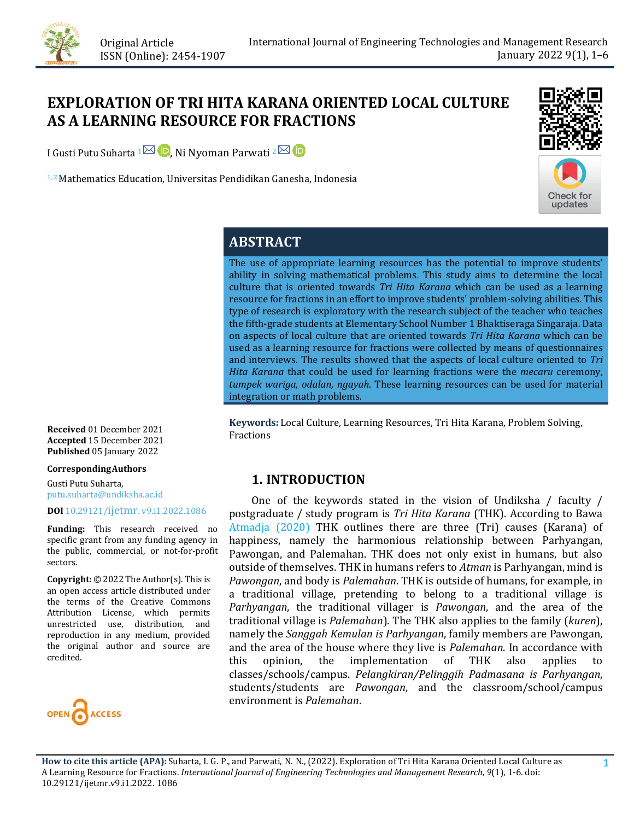

# **EXPLORATION OF TRI HITA KARANA ORIENTED LOCAL CULTURE AS A LEARNING RESOURCE FOR FRACTIONS**

I Gusti Putu Suharta 1 $\boxtimes$  D[,](https://orcid.org/0000-0002-2756-3597) Ni Nyoman Parwati 2 $\boxtimes$  D

<sup>1, 2</sup> Mathematics Education, Universitas Pendidikan Ganesha, Indonesia



# **ABSTRACT**

The use of appropriate learning resources has the potential to improve students' ability in solving mathematical problems. This study aims to determine the local culture that is oriented towards *Tri Hita Karana* which can be used as a learning resource for fractions in an effort to improve students' problem-solving abilities. This type of research is exploratory with the research subject of the teacher who teaches the fifth-grade students at Elementary School Number 1 Bhaktiseraga Singaraja. Data on aspects of local culture that are oriented towards *Tri Hita Karana* which can be used as a learning resource for fractions were collected by means of questionnaires and interviews. The results showed that the aspects of local culture oriented to *Tri Hita Karana* that could be used for learning fractions were the *mecaru* ceremony, *tumpek wariga, odalan, ngayah*. These learning resources can be used for material integration or math problems.

**Keywords:** Local Culture, Learning Resources, Tri Hita Karana, Problem Solving, Fractions

## **1. INTRODUCTION**

 One of the keywords stated in the vision of Undiksha / faculty / postgraduate / study program is *Tri Hita Karana* (THK). According to Bawa [Atmadja \(2020\)](#page-4-0) THK outlines there are three (Tri) causes (Karana) of happiness, namely the harmonious relationship between Parhyangan, Pawongan, and Palemahan. THK does not only exist in humans, but also outside of themselves. THK in humans refers to *Atman* is Parhyangan, mind is *Pawongan*, and body is *Palemahan*. THK is outside of humans, for example, in a traditional village, pretending to belong to a traditional village is *Parhyangan*, the traditional villager is *Pawongan*, and the area of the traditional village is *Palemahan*). The THK also applies to the family (*kuren*), namely the *Sanggah Kemulan is Parhyangan*, family members are Pawongan, and the area of the house where they live is *Palemahan*. In accordance with implementation of THK also applies to classes/schools/campus. *Pelangkiran/Pelinggih Padmasana is Parhyangan*, students/students are *Pawongan*, and the classroom/school/campus environment is *Palemahan*.

**Received** 01 December 2021 **Accepted** 15 December 2021 **Published** 05 January 2022

**CorrespondingAuthors**

Gusti Putu Suharta, putu.suharta@undiksha.ac.id

#### **DOI** [10.29121/ijetmr. v9.i1.2022.1086](https://dx.doi.org/10.29121/ijetmr.v9.i1.2022.1086)

**Funding:** This research received no specific grant from any funding agency in the public, commercial, or not-for-profit sectors.

**Copyright:** © 2022 The Author(s). This is an open access article distributed under the terms of the Creative Commons Attribution License, which permits unrestricted use, distribution, and reproduction in any medium, provided the original author and source are credited.

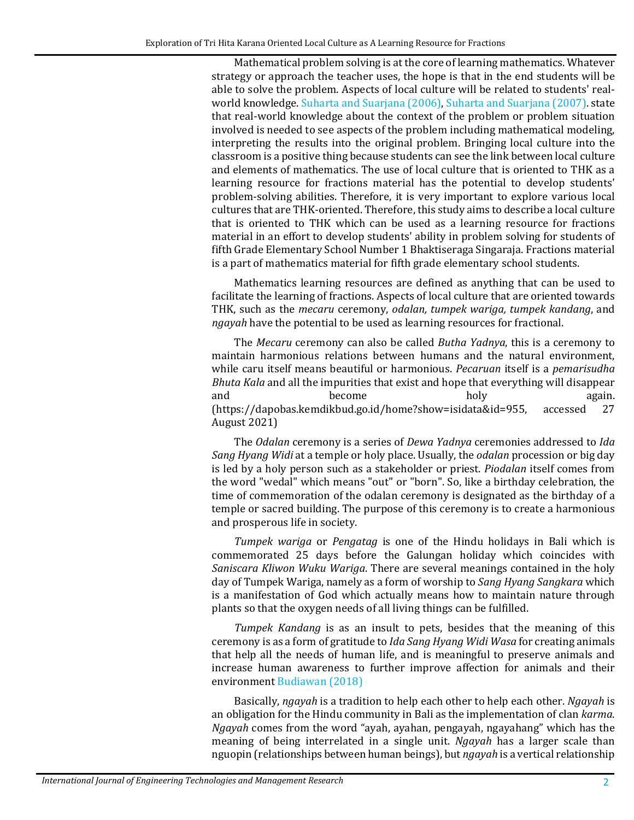Mathematical problem solving is at the core of learning mathematics. Whatever strategy or approach the teacher uses, the hope is that in the end students will be able to solve the problem. Aspects of local culture will be related to students' realworld knowledge. [Suharta and Suarjana \(2006\),](#page-4-1) [Suharta and Suarjana \(2007\).](#page-4-2) state that real-world knowledge about the context of the problem or problem situation involved is needed to see aspects of the problem including mathematical modeling, interpreting the results into the original problem. Bringing local culture into the classroom is a positive thing because students can see the link between local culture and elements of mathematics. The use of local culture that is oriented to THK as a learning resource for fractions material has the potential to develop students' problem-solving abilities. Therefore, it is very important to explore various local cultures that are THK-oriented. Therefore, this study aims to describe a local culture that is oriented to THK which can be used as a learning resource for fractions material in an effort to develop students' ability in problem solving for students of fifth Grade Elementary School Number 1 Bhaktiseraga Singaraja. Fractions material is a part of mathematics material for fifth grade elementary school students.

Mathematics learning resources are defined as anything that can be used to facilitate the learning of fractions. Aspects of local culture that are oriented towards THK, such as the *mecaru* ceremony, *odalan, tumpek wariga, tumpek kandang*, and *ngayah* have the potential to be used as learning resources for fractional.

The *Mecaru* ceremony can also be called *Butha Yadnya*, this is a ceremony to maintain harmonious relations between humans and the natural environment, while caru itself means beautiful or harmonious. *Pecaruan* itself is a *pemarisudha Bhuta Kala* and all the impurities that exist and hope that everything will disappear and become holy again. and become holy again. (https://dapobas.kemdikbud.go.id/home?show=isidata&id=955, accessed 27 August 2021)

The *Odalan* ceremony is a series of *Dewa Yadnya* ceremonies addressed to *Ida Sang Hyang Widi* at a temple or holy place. Usually, the *odalan* procession or big day is led by a holy person such as a stakeholder or priest. *Piodalan* itself comes from the word "wedal" which means "out" or "born". So, like a birthday celebration, the time of commemoration of the odalan ceremony is designated as the birthday of a temple or sacred building. The purpose of this ceremony is to create a harmonious and prosperous life in society.

*Tumpek wariga* or *Pengatag* is one of the Hindu holidays in Bali which is commemorated 25 days before the Galungan holiday which coincides with *Saniscara Kliwon Wuku Wariga*. There are several meanings contained in the holy day of Tumpek Wariga, namely as a form of worship to *Sang Hyang Sangkara* which is a manifestation of God which actually means how to maintain nature through plants so that the oxygen needs of all living things can be fulfilled.

*Tumpek Kandang* is as an insult to pets, besides that the meaning of this ceremony is as a form of gratitude to *Ida Sang Hyang Widi Wasa* for creating animals that help all the needs of human life, and is meaningful to preserve animals and increase human awareness to further improve affection for animals and their environment [Budiawan \(2018\)](#page-4-3)

Basically, *ngayah* is a tradition to help each other to help each other. *Ngayah* is an obligation for the Hindu community in Bali as the implementation of clan *karma*. *Ngayah* comes from the word "ayah, ayahan, pengayah, ngayahang" which has the meaning of being interrelated in a single unit. *Ngayah* has a larger scale than nguopin (relationships between human beings), but *ngayah* is a vertical relationship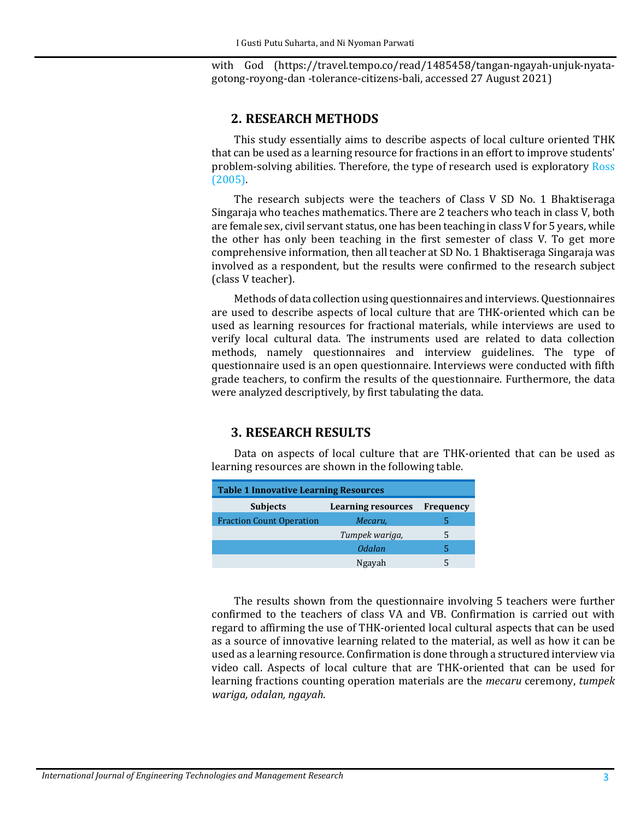with God (https://travel.tempo.co/read/1485458/tangan-ngayah-unjuk-nyatagotong-royong-dan -tolerance-citizens-bali, accessed 27 August 2021)

#### **2. RESEARCH METHODS**

This study essentially aims to describe aspects of local culture oriented THK that can be used as a learning resource for fractions in an effort to improve students' problem-solving abilities. Therefore, the type of research used is exploratory [Ross](#page-4-4)  [\(2005\).](#page-4-4)

The research subjects were the teachers of Class V SD No. 1 Bhaktiseraga Singaraja who teaches mathematics. There are 2 teachers who teach in class V, both are female sex, civil servant status, one has been teaching in class V for 5 years, while the other has only been teaching in the first semester of class V. To get more comprehensive information, then all teacher at SD No. 1 Bhaktiseraga Singaraja was involved as a respondent, but the results were confirmed to the research subject (class V teacher).

Methods of data collection using questionnaires and interviews. Questionnaires are used to describe aspects of local culture that are THK-oriented which can be used as learning resources for fractional materials, while interviews are used to verify local cultural data. The instruments used are related to data collection methods, namely questionnaires and interview guidelines. The type of questionnaire used is an open questionnaire. Interviews were conducted with fifth grade teachers, to confirm the results of the questionnaire. Furthermore, the data were analyzed descriptively, by first tabulating the data.

### **3. RESEARCH RESULTS**

Data on aspects of local culture that are THK-oriented that can be used as learning resources are shown in the following table.

| <b>Table 1 Innovative Learning Resources</b> |                           |                  |
|----------------------------------------------|---------------------------|------------------|
| <b>Subjects</b>                              | <b>Learning resources</b> | <b>Frequency</b> |
| <b>Fraction Count Operation</b>              | Mecaru,                   |                  |
|                                              | Tumpek wariga,            | 5                |
|                                              | Odalan                    | 5                |
|                                              | Ngayah                    |                  |

The results shown from the questionnaire involving 5 teachers were further confirmed to the teachers of class VA and VB. Confirmation is carried out with regard to affirming the use of THK-oriented local cultural aspects that can be used as a source of innovative learning related to the material, as well as how it can be used as a learning resource. Confirmation is done through a structured interview via video call. Aspects of local culture that are THK-oriented that can be used for learning fractions counting operation materials are the *mecaru* ceremony, *tumpek wariga, odalan, ngayah*.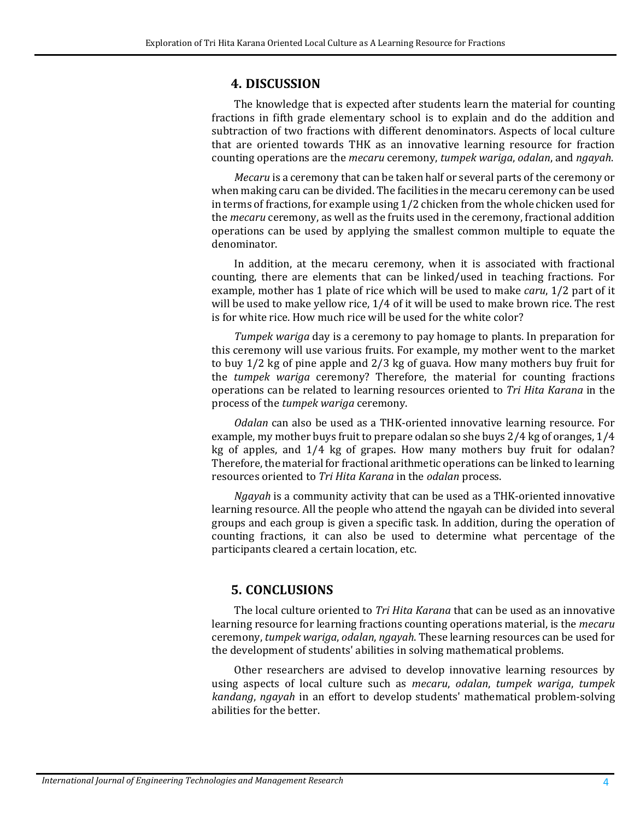# **4. DISCUSSION**

The knowledge that is expected after students learn the material for counting fractions in fifth grade elementary school is to explain and do the addition and subtraction of two fractions with different denominators. Aspects of local culture that are oriented towards THK as an innovative learning resource for fraction counting operations are the *mecaru* ceremony, *tumpek wariga*, *odalan*, and *ngayah*.

*Mecaru* is a ceremony that can be taken half or several parts of the ceremony or when making caru can be divided. The facilities in the mecaru ceremony can be used in terms of fractions, for example using 1/2 chicken from the whole chicken used for the *mecaru* ceremony, as well as the fruits used in the ceremony, fractional addition operations can be used by applying the smallest common multiple to equate the denominator.

In addition, at the mecaru ceremony, when it is associated with fractional counting, there are elements that can be linked/used in teaching fractions. For example, mother has 1 plate of rice which will be used to make *caru*, 1/2 part of it will be used to make yellow rice, 1/4 of it will be used to make brown rice. The rest is for white rice. How much rice will be used for the white color?

*Tumpek wariga* day is a ceremony to pay homage to plants. In preparation for this ceremony will use various fruits. For example, my mother went to the market to buy 1/2 kg of pine apple and 2/3 kg of guava. How many mothers buy fruit for the *tumpek wariga* ceremony? Therefore, the material for counting fractions operations can be related to learning resources oriented to *Tri Hita Karana* in the process of the *tumpek wariga* ceremony.

*Odalan* can also be used as a THK-oriented innovative learning resource. For example, my mother buys fruit to prepare odalan so she buys 2/4 kg of oranges, 1/4 kg of apples, and 1/4 kg of grapes. How many mothers buy fruit for odalan? Therefore, the material for fractional arithmetic operations can be linked to learning resources oriented to *Tri Hita Karana* in the *odalan* process.

*Ngayah* is a community activity that can be used as a THK-oriented innovative learning resource. All the people who attend the ngayah can be divided into several groups and each group is given a specific task. In addition, during the operation of counting fractions, it can also be used to determine what percentage of the participants cleared a certain location, etc.

## **5. CONCLUSIONS**

The local culture oriented to *Tri Hita Karana* that can be used as an innovative learning resource for learning fractions counting operations material, is the *mecaru*  ceremony, *tumpek wariga*, *odalan*, *ngayah*. These learning resources can be used for the development of students' abilities in solving mathematical problems.

Other researchers are advised to develop innovative learning resources by using aspects of local culture such as *mecaru*, *odalan*, *tumpek wariga*, *tumpek kandang*, *ngayah* in an effort to develop students' mathematical problem-solving abilities for the better.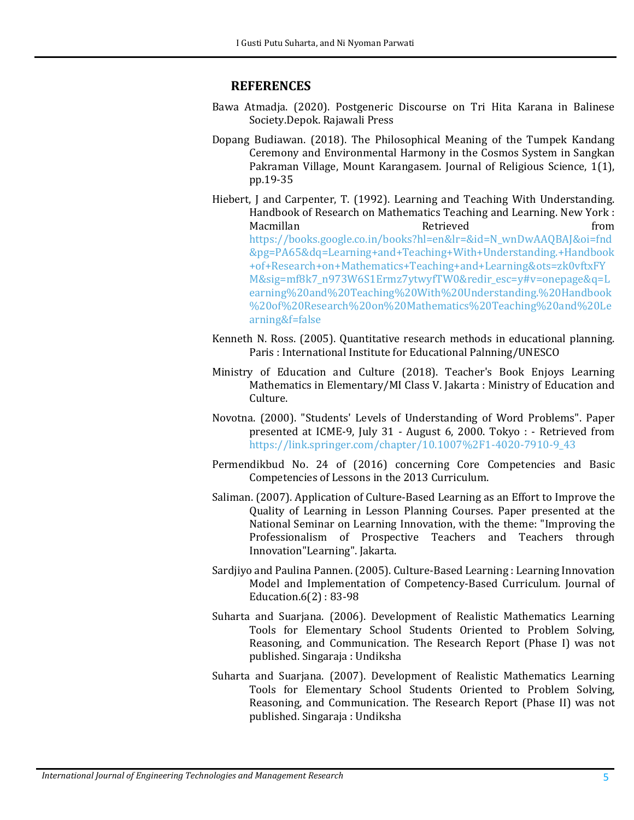#### **REFERENCES**

- <span id="page-4-0"></span>Bawa Atmadja. (2020). Postgeneric Discourse on Tri Hita Karana in Balinese Society.Depok. Rajawali Press
- <span id="page-4-3"></span>Dopang Budiawan. (2018). The Philosophical Meaning of the Tumpek Kandang Ceremony and Environmental Harmony in the Cosmos System in Sangkan Pakraman Village, Mount Karangasem. Journal of Religious Science, 1(1), pp.19-35
- Hiebert, J and Carpenter, T. (1992). Learning and Teaching With Understanding. Handbook of Research on Mathematics Teaching and Learning. New York : Macmillan Retrieved From [https://books.google.co.in/books?hl=en&lr=&id=N\\_wnDwAAQBAJ&oi=fnd](https://books.google.co.in/books?hl=en&lr=&id=N_wnDwAAQBAJ&oi=fnd&pg=PA65&dq=Learning+and+Teaching+With+Understanding.+Handbook+of+Research+on+Mathematics+Teaching+and+Learning&ots=zk0vftxFYM&sig=mf8k7_n973W6S1Ermz7ytwyfTW0&redir_esc=y#v=onepage&q=Learning%20and%20Teaching%20With%20Understanding.%20Handbook%20of%20Research%20on%20Mathematics%20Teaching%20and%20Learning&f=false) [&pg=PA65&dq=Learning+and+Teaching+With+Understanding.+Handbook](https://books.google.co.in/books?hl=en&lr=&id=N_wnDwAAQBAJ&oi=fnd&pg=PA65&dq=Learning+and+Teaching+With+Understanding.+Handbook+of+Research+on+Mathematics+Teaching+and+Learning&ots=zk0vftxFYM&sig=mf8k7_n973W6S1Ermz7ytwyfTW0&redir_esc=y#v=onepage&q=Learning%20and%20Teaching%20With%20Understanding.%20Handbook%20of%20Research%20on%20Mathematics%20Teaching%20and%20Learning&f=false) [+of+Research+on+Mathematics+Teaching+and+Learning&ots=zk0vftxFY](https://books.google.co.in/books?hl=en&lr=&id=N_wnDwAAQBAJ&oi=fnd&pg=PA65&dq=Learning+and+Teaching+With+Understanding.+Handbook+of+Research+on+Mathematics+Teaching+and+Learning&ots=zk0vftxFYM&sig=mf8k7_n973W6S1Ermz7ytwyfTW0&redir_esc=y#v=onepage&q=Learning%20and%20Teaching%20With%20Understanding.%20Handbook%20of%20Research%20on%20Mathematics%20Teaching%20and%20Learning&f=false) [M&sig=mf8k7\\_n973W6S1Ermz7ytwyfTW0&redir\\_esc=y#v=onepage&q=L](https://books.google.co.in/books?hl=en&lr=&id=N_wnDwAAQBAJ&oi=fnd&pg=PA65&dq=Learning+and+Teaching+With+Understanding.+Handbook+of+Research+on+Mathematics+Teaching+and+Learning&ots=zk0vftxFYM&sig=mf8k7_n973W6S1Ermz7ytwyfTW0&redir_esc=y#v=onepage&q=Learning%20and%20Teaching%20With%20Understanding.%20Handbook%20of%20Research%20on%20Mathematics%20Teaching%20and%20Learning&f=false) [earning%20and%20Teaching%20With%20Understanding.%20Handbook](https://books.google.co.in/books?hl=en&lr=&id=N_wnDwAAQBAJ&oi=fnd&pg=PA65&dq=Learning+and+Teaching+With+Understanding.+Handbook+of+Research+on+Mathematics+Teaching+and+Learning&ots=zk0vftxFYM&sig=mf8k7_n973W6S1Ermz7ytwyfTW0&redir_esc=y#v=onepage&q=Learning%20and%20Teaching%20With%20Understanding.%20Handbook%20of%20Research%20on%20Mathematics%20Teaching%20and%20Learning&f=false) [%20of%20Research%20on%20Mathematics%20Teaching%20and%20Le](https://books.google.co.in/books?hl=en&lr=&id=N_wnDwAAQBAJ&oi=fnd&pg=PA65&dq=Learning+and+Teaching+With+Understanding.+Handbook+of+Research+on+Mathematics+Teaching+and+Learning&ots=zk0vftxFYM&sig=mf8k7_n973W6S1Ermz7ytwyfTW0&redir_esc=y#v=onepage&q=Learning%20and%20Teaching%20With%20Understanding.%20Handbook%20of%20Research%20on%20Mathematics%20Teaching%20and%20Learning&f=false) [arning&f=false](https://books.google.co.in/books?hl=en&lr=&id=N_wnDwAAQBAJ&oi=fnd&pg=PA65&dq=Learning+and+Teaching+With+Understanding.+Handbook+of+Research+on+Mathematics+Teaching+and+Learning&ots=zk0vftxFYM&sig=mf8k7_n973W6S1Ermz7ytwyfTW0&redir_esc=y#v=onepage&q=Learning%20and%20Teaching%20With%20Understanding.%20Handbook%20of%20Research%20on%20Mathematics%20Teaching%20and%20Learning&f=false)
- <span id="page-4-4"></span>Kenneth N. Ross. (2005). Quantitative research methods in educational planning. Paris : International Institute for Educational Palnning/UNESCO
- Ministry of Education and Culture (2018). Teacher's Book Enjoys Learning Mathematics in Elementary/MI Class V. Jakarta : Ministry of Education and Culture.
- Novotna. (2000). "Students' Levels of Understanding of Word Problems". Paper presented at ICME-9, July 31 - August 6, 2000. Tokyo : - Retrieved from [https://link.springer.com/chapter/10.1007%2F1-4020-7910-9\\_43](https://link.springer.com/chapter/10.1007%2F1-4020-7910-9_43)
- Permendikbud No. 24 of (2016) concerning Core Competencies and Basic Competencies of Lessons in the 2013 Curriculum.
- Saliman. (2007). Application of Culture-Based Learning as an Effort to Improve the Quality of Learning in Lesson Planning Courses. Paper presented at the National Seminar on Learning Innovation, with the theme: "Improving the Professionalism of Prospective Teachers and Teachers through Innovation"Learning". Jakarta.
- Sardjiyo and Paulina Pannen. (2005). Culture-Based Learning : Learning Innovation Model and Implementation of Competency-Based Curriculum. Journal of Education.6(2) : 83-98
- <span id="page-4-1"></span>Suharta and Suarjana. (2006). Development of Realistic Mathematics Learning Tools for Elementary School Students Oriented to Problem Solving, Reasoning, and Communication. The Research Report (Phase I) was not published. Singaraja : Undiksha
- <span id="page-4-2"></span>Suharta and Suarjana. (2007). Development of Realistic Mathematics Learning Tools for Elementary School Students Oriented to Problem Solving, Reasoning, and Communication. The Research Report (Phase II) was not published. Singaraja : Undiksha